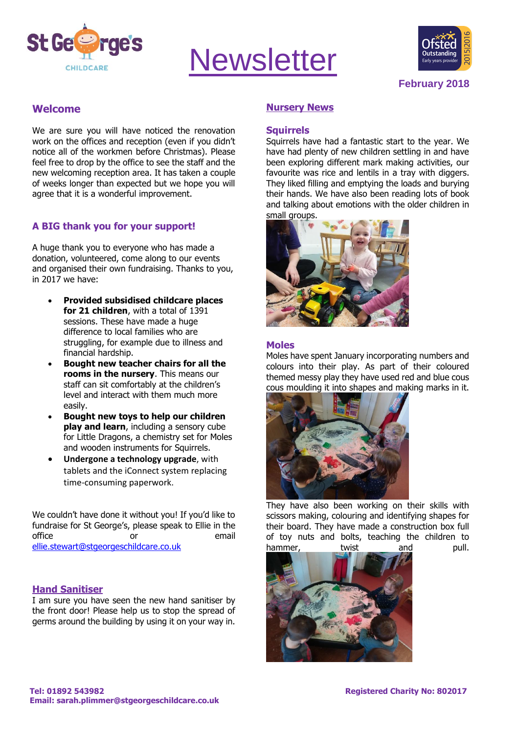

# Newsletter



**February 2018**

# **Welcome**

We are sure you will have noticed the renovation work on the offices and reception (even if you didn't notice all of the workmen before Christmas). Please feel free to drop by the office to see the staff and the new welcoming reception area. It has taken a couple of weeks longer than expected but we hope you will agree that it is a wonderful improvement.

# **A BIG thank you for your support!**

A huge thank you to everyone who has made a donation, volunteered, come along to our events and organised their own fundraising. Thanks to you, in 2017 we have:

- **Provided subsidised childcare places for 21 children**, with a total of 1391 sessions. These have made a huge difference to local families who are struggling, for example due to illness and financial hardship.
- **Bought new teacher chairs for all the rooms in the nursery**. This means our staff can sit comfortably at the children's level and interact with them much more easily.
- **Bought new toys to help our children play and learn**, including a sensory cube for Little Dragons, a chemistry set for Moles and wooden instruments for Squirrels.
- **Undergone a technology upgrade**, with tablets and the iConnect system replacing time-consuming paperwork.

We couldn't have done it without you! If you'd like to fundraise for St George's, please speak to Ellie in the office or email [ellie.stewart@stgeorgeschildcare.co.uk](mailto:ellie.stewart@stgeorgeschildcare.co.uk)

#### **Hand Sanitiser**

I am sure you have seen the new hand sanitiser by the front door! Please help us to stop the spread of germs around the building by using it on your way in.

## **Nursery News**

#### **Squirrels**

Squirrels have had a fantastic start to the year. We have had plenty of new children settling in and have been exploring different mark making activities, our favourite was rice and lentils in a tray with diggers. They liked filling and emptying the loads and burying their hands. We have also been reading lots of book and talking about emotions with the older children in small groups.



### **Moles**

Moles have spent January incorporating numbers and colours into their play. As part of their coloured themed messy play they have used red and blue cous cous moulding it into shapes and making marks in it.



They have also been working on their skills with scissors making, colouring and identifying shapes for their board. They have made a construction box full of toy nuts and bolts, teaching the children to hammer, twist and pull.

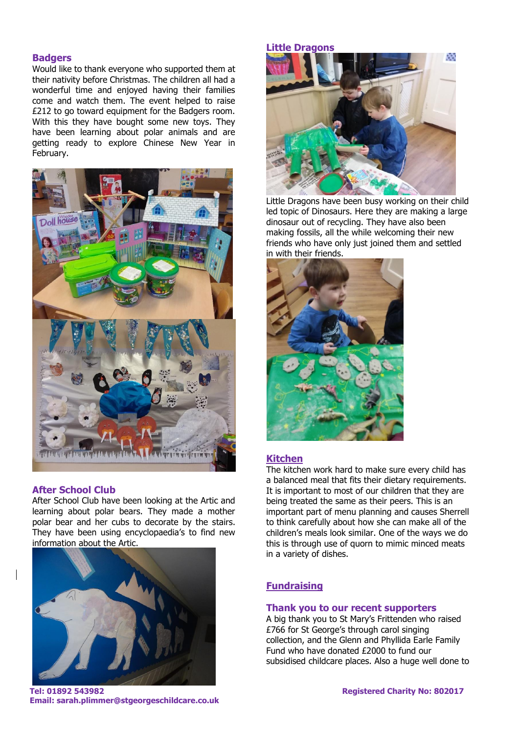#### **Badgers**

Would like to thank everyone who supported them at their nativity before Christmas. The children all had a wonderful time and enjoyed having their families come and watch them. The event helped to raise £212 to go toward equipment for the Badgers room. With this they have bought some new toys. They have been learning about polar animals and are getting ready to explore Chinese New Year in February.



#### **After School Club**

After School Club have been looking at the Artic and learning about polar bears. They made a mother polar bear and her cubs to decorate by the stairs. They have been using encyclopaedia's to find new information about the Artic.



**Little Dragons**



Little Dragons have been busy working on their child led topic of Dinosaurs. Here they are making a large dinosaur out of recycling. They have also been making fossils, all the while welcoming their new friends who have only just joined them and settled in with their friends.



#### **Kitchen**

The kitchen work hard to make sure every child has a balanced meal that fits their dietary requirements. It is important to most of our children that they are being treated the same as their peers. This is an important part of menu planning and causes Sherrell to think carefully about how she can make all of the children's meals look similar. One of the ways we do this is through use of quorn to mimic minced meats in a variety of dishes.

# **Fundraising**

#### **Thank you to our recent supporters**

A big thank you to St Mary's Frittenden who raised £766 for St George's through carol singing collection, and the Glenn and Phyllida Earle Family Fund who have donated £2000 to fund our subsidised childcare places. Also a huge well done to

**Tel: 01892 543982 Registered Charity No: 802017 Email: sarah.plimmer@stgeorgeschildcare.co.uk**